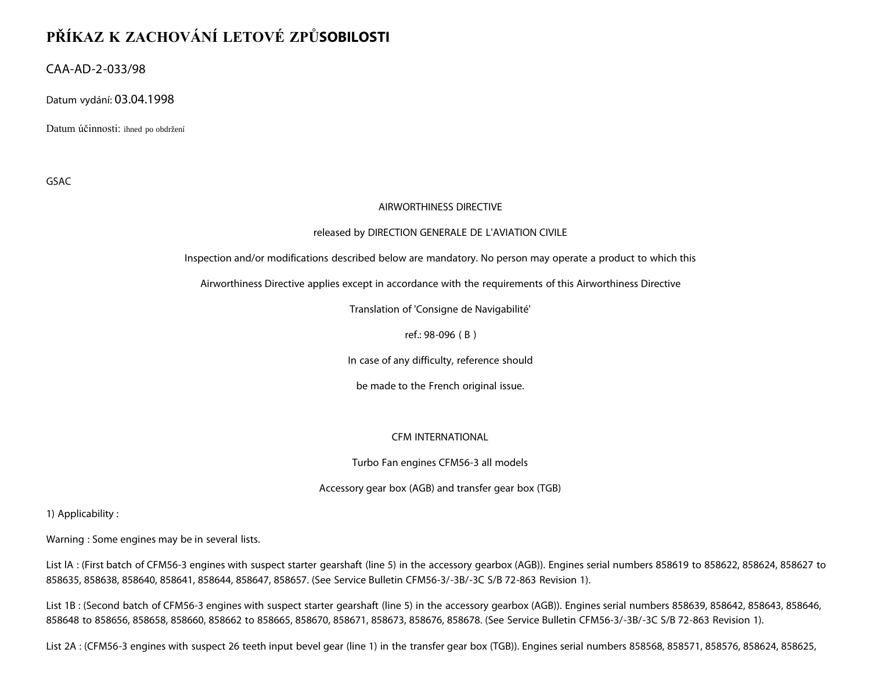# **PŘÍKAZ K ZACHOVÁNÍ LETOVÉ ZPŮSOBILOSTI**

CAA-AD-2-033/98

Datum vydání: 03.04.1998

Datum účinnosti: ihned po obdržení

GSAC

### AIRWORTHINESS DIRECTIVE

### released by DIRECTION GENERALE DE L'AVIATION CIVILE

Inspection and/or modifications described below are mandatory. No person may operate a product to which this

Airworthiness Directive applies except in accordance with the requirements of this Airworthiness Directive

Translation of 'Consigne de Navigabilité'

ref.: 98-096 ( B )

In case of any difficulty, reference should

be made to the French original issue.

## CFM INTERNATIONAL

Turbo Fan engines CFM56-3 all models

Accessory gear box (AGB) and transfer gear box (TGB)

1) Applicability :

Warning : Some engines may be in several lists.

List lA : (First batch of CFM56-3 engines with suspect starter gearshaft (line 5) in the accessory gearbox (AGB)). Engines serial numbers 858619 to 858622, 858624, 858627 to 858635, 858638, 858640, 858641, 858644, 858647, 858657. (See Service Bulletin CFM56-3/-3B/-3C S/B 72-863 Revision 1).

List 1B : (Second batch of CFM56-3 engines with suspect starter gearshaft (line 5) in the accessory gearbox (AGB)). Engines serial numbers 858639, 858642, 858643, 858646, 858648 to 858656, 858658, 858660, 858662 to 858665, 858670, 858671, 858673, 858676, 858678. (See Service Bulletin CFM56-3/-3B/-3C S/B 72-863 Revision 1).

List 2A : (CFM56-3 engines with suspect 26 teeth input bevel gear (line 1) in the transfer gear box (TGB)). Engines serial numbers 858568, 858571, 858576, 858624, 858625,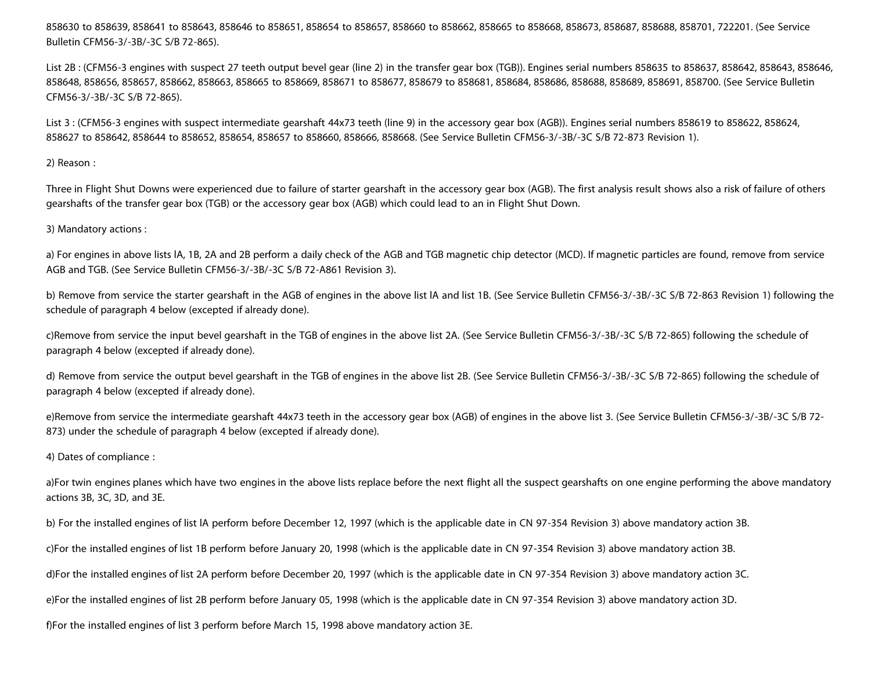858630 to 858639, 858641 to 858643, 858646 to 858651, 858654 to 858657, 858660 to 858662, 858665 to 858668, 858673, 858687, 858688, 858701, 722201. (See Service Bulletin CFM56-3/-3B/-3C S/B 72-865).

List 2B : (CFM56-3 engines with suspect 27 teeth output bevel gear (line 2) in the transfer gear box (TGB)). Engines serial numbers 858635 to 858637, 858642, 858643, 858646, 858648, 858656, 858657, 858662, 858663, 858665 to 858669, 858671 to 858677, 858679 to 858681, 858684, 858686, 858688, 858689, 858691, 858700. (See Service Bulletin CFM56-3/-3B/-3C S/B 72-865).

List 3 : (CFM56-3 engines with suspect intermediate gearshaft 44x73 teeth (line 9) in the accessory gear box (AGB)). Engines serial numbers 858619 to 858622, 858624, 858627 to 858642, 858644 to 858652, 858654, 858657 to 858660, 858666, 858668. (See Service Bulletin CFM56-3/-3B/-3C S/B 72-873 Revision 1).

2) Reason :

Three in Flight Shut Downs were experienced due to failure of starter gearshaft in the accessory gear box (AGB). The first analysis result shows also a risk of failure of others gearshafts of the transfer gear box (TGB) or the accessory gear box (AGB) which could lead to an in Flight Shut Down.

## 3) Mandatory actions :

a) For engines in above lists lA, 1B, 2A and 2B perform a daily check of the AGB and TGB magnetic chip detector (MCD). If magnetic particles are found, remove from service AGB and TGB. (See Service Bulletin CFM56-3/-3B/-3C S/B 72-A861 Revision 3).

b) Remove from service the starter gearshaft in the AGB of engines in the above list lA and list 1B. (See Service Bulletin CFM56-3/-3B/-3C S/B 72-863 Revision 1) following the schedule of paragraph 4 below (excepted if already done).

c)Remove from service the input bevel gearshaft in the TGB of engines in the above list 2A. (See Service Bulletin CFM56-3/-3B/-3C S/B 72-865) following the schedule of paragraph 4 below (excepted if already done).

d) Remove from service the output bevel gearshaft in the TGB of engines in the above list 2B. (See Service Bulletin CFM56-3/-3B/-3C S/B 72-865) following the schedule of paragraph 4 below (excepted if already done).

e)Remove from service the intermediate gearshaft 44x73 teeth in the accessory gear box (AGB) of engines in the above list 3. (See Service Bulletin CFM56-3/-3B/-3C S/B 72- 873) under the schedule of paragraph 4 below (excepted if already done).

4) Dates of compliance :

a)For twin engines planes which have two engines in the above lists replace before the next flight all the suspect gearshafts on one engine performing the above mandatory actions 3B, 3C, 3D, and 3E.

b) For the installed engines of list lA perform before December 12, 1997 (which is the applicable date in CN 97-354 Revision 3) above mandatory action 3B.

c)For the installed engines of list 1B perform before January 20, 1998 (which is the applicable date in CN 97-354 Revision 3) above mandatory action 3B.

d)For the installed engines of list 2A perform before December 20, 1997 (which is the applicable date in CN 97-354 Revision 3) above mandatory action 3C.

e)For the installed engines of list 2B perform before January 05, 1998 (which is the applicable date in CN 97-354 Revision 3) above mandatory action 3D.

f)For the installed engines of list 3 perform before March 15, 1998 above mandatory action 3E.